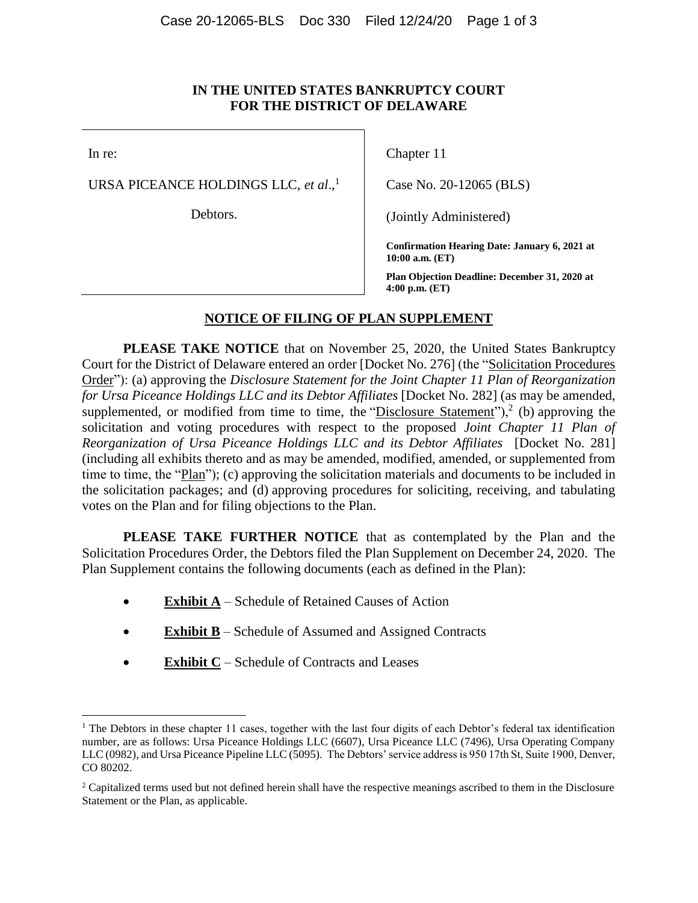## **IN THE UNITED STATES BANKRUPTCY COURT FOR THE DISTRICT OF DELAWARE**

In re:

URSA PICEANCE HOLDINGS LLC, *et al*., 1

Debtors.

Chapter 11

Case No. 20-12065 (BLS)

(Jointly Administered)

**Confirmation Hearing Date: January 6, 2021 at 10:00 a.m. (ET)**

**Plan Objection Deadline: December 31, 2020 at 4:00 p.m. (ET)**

## **NOTICE OF FILING OF PLAN SUPPLEMENT**

**PLEASE TAKE NOTICE** that on November 25, 2020, the United States Bankruptcy Court for the District of Delaware entered an order [Docket No. 276] (the "Solicitation Procedures Order"): (a) approving the *Disclosure Statement for the Joint Chapter 11 Plan of Reorganization for Ursa Piceance Holdings LLC and its Debtor Affiliates* [Docket No. 282] (as may be amended, supplemented, or modified from time to time, the "Disclosure Statement"),<sup>2</sup> (b) approving the solicitation and voting procedures with respect to the proposed *Joint Chapter 11 Plan of Reorganization of Ursa Piceance Holdings LLC and its Debtor Affiliates* [Docket No. 281] (including all exhibits thereto and as may be amended, modified, amended, or supplemented from time to time, the "Plan"); (c) approving the solicitation materials and documents to be included in the solicitation packages; and (d) approving procedures for soliciting, receiving, and tabulating votes on the Plan and for filing objections to the Plan.

**PLEASE TAKE FURTHER NOTICE** that as contemplated by the Plan and the Solicitation Procedures Order, the Debtors filed the Plan Supplement on December 24, 2020. The Plan Supplement contains the following documents (each as defined in the Plan):

- **Exhibit A** Schedule of Retained Causes of Action
- **Exhibit B** Schedule of Assumed and Assigned Contracts
- **Exhibit C** Schedule of Contracts and Leases

<sup>&</sup>lt;sup>1</sup> The Debtors in these chapter 11 cases, together with the last four digits of each Debtor's federal tax identification number, are as follows: Ursa Piceance Holdings LLC (6607), Ursa Piceance LLC (7496), Ursa Operating Company LLC (0982), and Ursa Piceance Pipeline LLC (5095). The Debtors' service address is 950 17th St, Suite 1900, Denver, CO 80202.

<sup>&</sup>lt;sup>2</sup> Capitalized terms used but not defined herein shall have the respective meanings ascribed to them in the Disclosure Statement or the Plan, as applicable.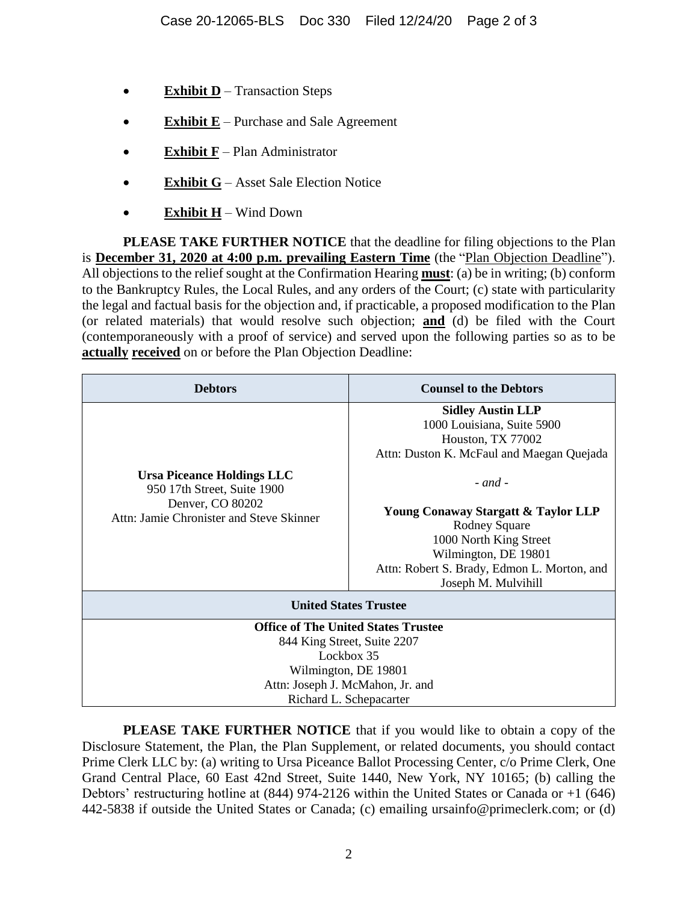- **Exhibit D** Transaction Steps
- **Exhibit E** Purchase and Sale Agreement
- **Exhibit F** Plan Administrator
- **Exhibit G** Asset Sale Election Notice
- **Exhibit H** Wind Down

**PLEASE TAKE FURTHER NOTICE** that the deadline for filing objections to the Plan is **December 31, 2020 at 4:00 p.m. prevailing Eastern Time** (the "Plan Objection Deadline"). All objections to the relief sought at the Confirmation Hearing **must**: (a) be in writing; (b) conform to the Bankruptcy Rules, the Local Rules, and any orders of the Court; (c) state with particularity the legal and factual basis for the objection and, if practicable, a proposed modification to the Plan (or related materials) that would resolve such objection; **and** (d) be filed with the Court (contemporaneously with a proof of service) and served upon the following parties so as to be **actually received** on or before the Plan Objection Deadline:

| <b>Debtors</b>                                                                                                                   | <b>Counsel to the Debtors</b>                                                                                                                                                                                                                                                                                                  |
|----------------------------------------------------------------------------------------------------------------------------------|--------------------------------------------------------------------------------------------------------------------------------------------------------------------------------------------------------------------------------------------------------------------------------------------------------------------------------|
| <b>Ursa Piceance Holdings LLC</b><br>950 17th Street, Suite 1900<br>Denver, CO 80202<br>Attn: Jamie Chronister and Steve Skinner | <b>Sidley Austin LLP</b><br>1000 Louisiana, Suite 5900<br>Houston, TX 77002<br>Attn: Duston K. McFaul and Maegan Quejada<br>$-$ and $-$<br>Young Conaway Stargatt & Taylor LLP<br><b>Rodney Square</b><br>1000 North King Street<br>Wilmington, DE 19801<br>Attn: Robert S. Brady, Edmon L. Morton, and<br>Joseph M. Mulvihill |
| <b>United States Trustee</b>                                                                                                     |                                                                                                                                                                                                                                                                                                                                |
| <b>Office of The United States Trustee</b>                                                                                       |                                                                                                                                                                                                                                                                                                                                |
| 844 King Street, Suite 2207<br>Lockbox 35                                                                                        |                                                                                                                                                                                                                                                                                                                                |
| Wilmington, DE 19801                                                                                                             |                                                                                                                                                                                                                                                                                                                                |
| Attn: Joseph J. McMahon, Jr. and                                                                                                 |                                                                                                                                                                                                                                                                                                                                |
| Richard L. Schepacarter                                                                                                          |                                                                                                                                                                                                                                                                                                                                |

**PLEASE TAKE FURTHER NOTICE** that if you would like to obtain a copy of the Disclosure Statement, the Plan, the Plan Supplement, or related documents, you should contact Prime Clerk LLC by: (a) writing to Ursa Piceance Ballot Processing Center, c/o Prime Clerk, One Grand Central Place, 60 East 42nd Street, Suite 1440, New York, NY 10165; (b) calling the Debtors' restructuring hotline at (844) 974-2126 within the United States or Canada or +1 (646) 442-5838 if outside the United States or Canada; (c) emailing ursainfo@primeclerk.com; or (d)